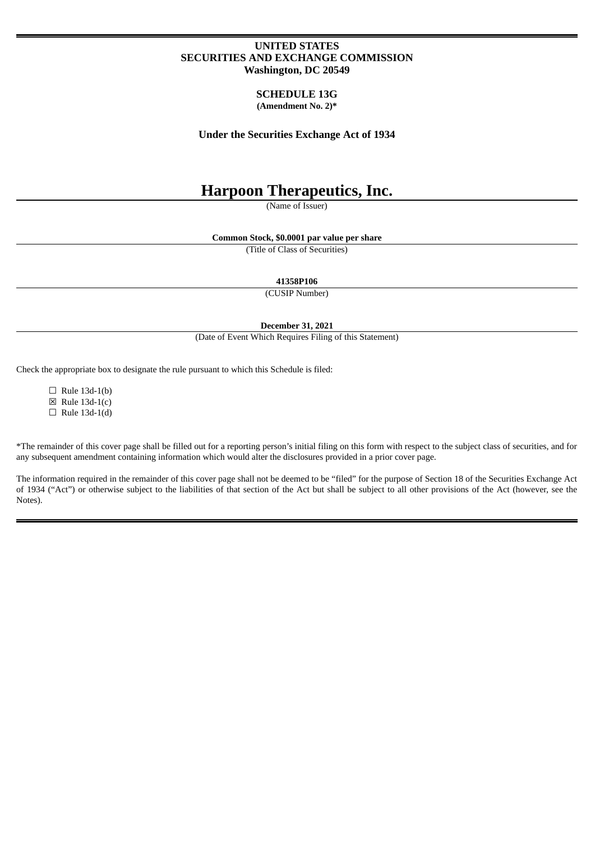## **UNITED STATES SECURITIES AND EXCHANGE COMMISSION Washington, DC 20549**

#### **SCHEDULE 13G (Amendment No. 2)\***

**Under the Securities Exchange Act of 1934**

# **Harpoon Therapeutics, Inc.**

(Name of Issuer)

**Common Stock, \$0.0001 par value per share**

(Title of Class of Securities)

**41358P106**

(CUSIP Number)

**December 31, 2021**

(Date of Event Which Requires Filing of this Statement)

Check the appropriate box to designate the rule pursuant to which this Schedule is filed:

 $\Box$  Rule 13d-1(b)  $\boxtimes$  Rule 13d-1(c)  $\Box$  Rule 13d-1(d)

\*The remainder of this cover page shall be filled out for a reporting person's initial filing on this form with respect to the subject class of securities, and for any subsequent amendment containing information which would alter the disclosures provided in a prior cover page.

The information required in the remainder of this cover page shall not be deemed to be "filed" for the purpose of Section 18 of the Securities Exchange Act of 1934 ("Act") or otherwise subject to the liabilities of that section of the Act but shall be subject to all other provisions of the Act (however, see the Notes).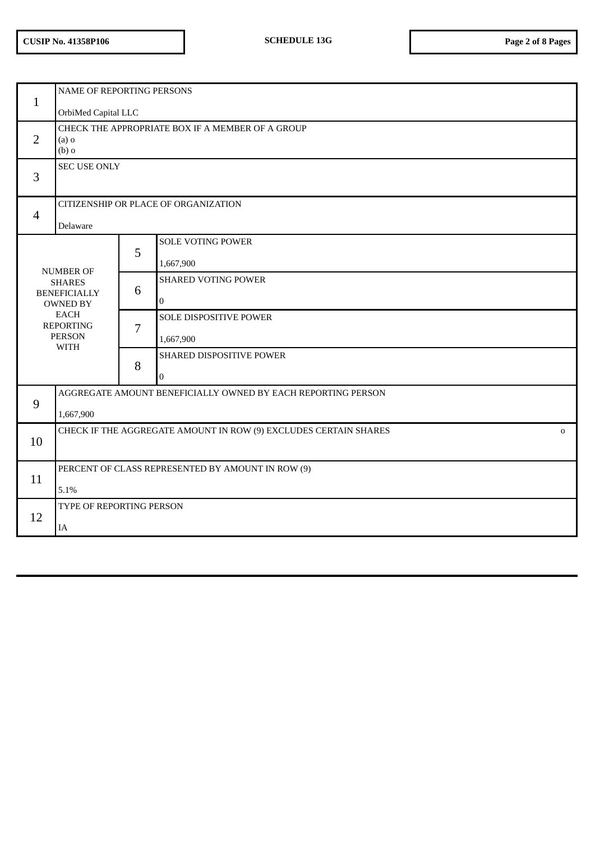| NAME OF REPORTING PERSONS                                                        |                                                                                 |                                    |                                                                                                                                                                                                                                    |  |
|----------------------------------------------------------------------------------|---------------------------------------------------------------------------------|------------------------------------|------------------------------------------------------------------------------------------------------------------------------------------------------------------------------------------------------------------------------------|--|
|                                                                                  |                                                                                 |                                    |                                                                                                                                                                                                                                    |  |
| $(a)$ o<br>$(b)$ o                                                               |                                                                                 |                                    |                                                                                                                                                                                                                                    |  |
| SEC USE ONLY                                                                     |                                                                                 |                                    |                                                                                                                                                                                                                                    |  |
| CITIZENSHIP OR PLACE OF ORGANIZATION                                             |                                                                                 |                                    |                                                                                                                                                                                                                                    |  |
| Delaware                                                                         |                                                                                 |                                    |                                                                                                                                                                                                                                    |  |
|                                                                                  |                                                                                 | <b>SOLE VOTING POWER</b>           |                                                                                                                                                                                                                                    |  |
|                                                                                  |                                                                                 | 1,667,900                          |                                                                                                                                                                                                                                    |  |
| <b>SHARES</b>                                                                    |                                                                                 | <b>SHARED VOTING POWER</b>         |                                                                                                                                                                                                                                    |  |
| <b>OWNED BY</b>                                                                  |                                                                                 | $\overline{0}$                     |                                                                                                                                                                                                                                    |  |
| <b>REPORTING</b>                                                                 | 7                                                                               |                                    |                                                                                                                                                                                                                                    |  |
| <b>WITH</b>                                                                      |                                                                                 | 1,667,900                          |                                                                                                                                                                                                                                    |  |
|                                                                                  |                                                                                 |                                    |                                                                                                                                                                                                                                    |  |
|                                                                                  |                                                                                 | $\overline{0}$                     |                                                                                                                                                                                                                                    |  |
|                                                                                  |                                                                                 |                                    |                                                                                                                                                                                                                                    |  |
| 1,667,900                                                                        |                                                                                 |                                    |                                                                                                                                                                                                                                    |  |
| CHECK IF THE AGGREGATE AMOUNT IN ROW (9) EXCLUDES CERTAIN SHARES<br>$\mathbf{O}$ |                                                                                 |                                    |                                                                                                                                                                                                                                    |  |
|                                                                                  |                                                                                 |                                    |                                                                                                                                                                                                                                    |  |
|                                                                                  |                                                                                 |                                    |                                                                                                                                                                                                                                    |  |
| TYPE OF REPORTING PERSON                                                         |                                                                                 |                                    |                                                                                                                                                                                                                                    |  |
| IA                                                                               |                                                                                 |                                    |                                                                                                                                                                                                                                    |  |
|                                                                                  | <b>NUMBER OF</b><br><b>BENEFICIALLY</b><br><b>EACH</b><br><b>PERSON</b><br>5.1% | OrbiMed Capital LLC<br>5<br>6<br>8 | CHECK THE APPROPRIATE BOX IF A MEMBER OF A GROUP<br><b>SOLE DISPOSITIVE POWER</b><br>SHARED DISPOSITIVE POWER<br>AGGREGATE AMOUNT BENEFICIALLY OWNED BY EACH REPORTING PERSON<br>PERCENT OF CLASS REPRESENTED BY AMOUNT IN ROW (9) |  |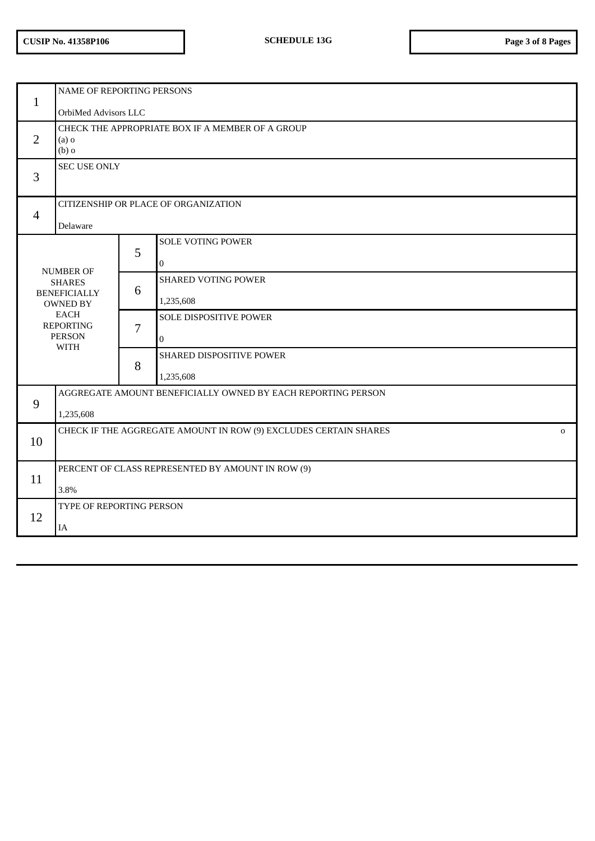| $\mathbf{1}$   | NAME OF REPORTING PERSONS                                              |                                                                              |                            |  |  |
|----------------|------------------------------------------------------------------------|------------------------------------------------------------------------------|----------------------------|--|--|
|                | OrbiMed Advisors LLC                                                   |                                                                              |                            |  |  |
| $\overline{2}$ | CHECK THE APPROPRIATE BOX IF A MEMBER OF A GROUP<br>$(a)$ o<br>$(b)$ o |                                                                              |                            |  |  |
| 3              | <b>SEC USE ONLY</b>                                                    |                                                                              |                            |  |  |
|                | CITIZENSHIP OR PLACE OF ORGANIZATION                                   |                                                                              |                            |  |  |
| $\overline{4}$ | Delaware                                                               |                                                                              |                            |  |  |
|                |                                                                        |                                                                              | <b>SOLE VOTING POWER</b>   |  |  |
|                |                                                                        | 5                                                                            | 0                          |  |  |
|                | <b>NUMBER OF</b><br><b>SHARES</b>                                      |                                                                              | <b>SHARED VOTING POWER</b> |  |  |
|                | <b>BENEFICIALLY</b><br><b>OWNED BY</b>                                 | 6                                                                            | 1,235,608                  |  |  |
|                | <b>EACH</b><br><b>REPORTING</b>                                        |                                                                              | SOLE DISPOSITIVE POWER     |  |  |
|                | <b>PERSON</b>                                                          | 7                                                                            | $\overline{0}$             |  |  |
|                | <b>WITH</b>                                                            |                                                                              | SHARED DISPOSITIVE POWER   |  |  |
|                |                                                                        | 8                                                                            | 1,235,608                  |  |  |
|                | AGGREGATE AMOUNT BENEFICIALLY OWNED BY EACH REPORTING PERSON           |                                                                              |                            |  |  |
|                | 9<br>1,235,608                                                         |                                                                              |                            |  |  |
|                |                                                                        | CHECK IF THE AGGREGATE AMOUNT IN ROW (9) EXCLUDES CERTAIN SHARES<br>$\Omega$ |                            |  |  |
| 10             |                                                                        |                                                                              |                            |  |  |
|                | PERCENT OF CLASS REPRESENTED BY AMOUNT IN ROW (9)                      |                                                                              |                            |  |  |
| 11             | 3.8%                                                                   |                                                                              |                            |  |  |
| 12             | TYPE OF REPORTING PERSON                                               |                                                                              |                            |  |  |
|                | IA                                                                     |                                                                              |                            |  |  |
|                |                                                                        |                                                                              |                            |  |  |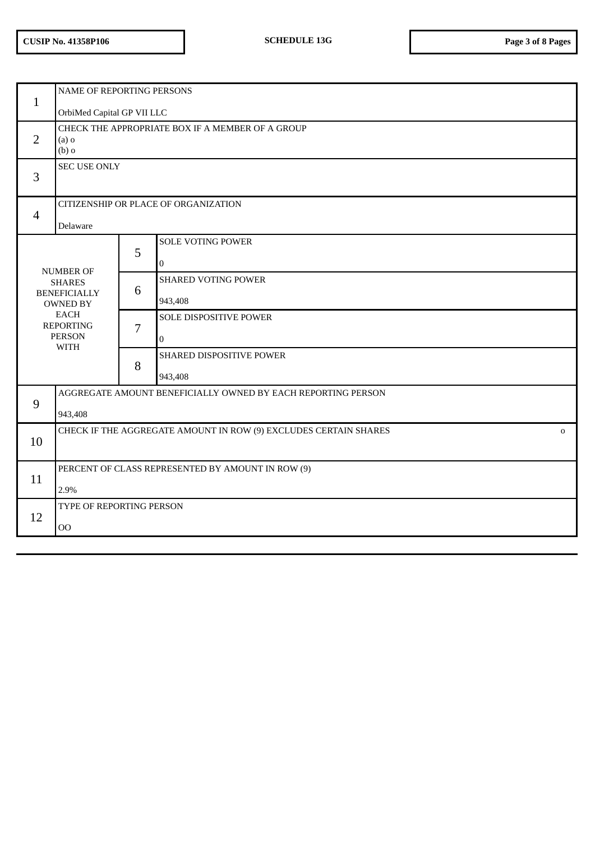| <b>NAME OF REPORTING PERSONS</b><br>$\mathbf{1}$                                                                                               |                                                                                 |   |                                            |  |  |
|------------------------------------------------------------------------------------------------------------------------------------------------|---------------------------------------------------------------------------------|---|--------------------------------------------|--|--|
|                                                                                                                                                | OrbiMed Capital GP VII LLC                                                      |   |                                            |  |  |
| $\overline{2}$                                                                                                                                 | CHECK THE APPROPRIATE BOX IF A MEMBER OF A GROUP<br>$(a)$ o<br>$(b)$ o          |   |                                            |  |  |
| 3                                                                                                                                              | <b>SEC USE ONLY</b>                                                             |   |                                            |  |  |
| $\overline{4}$                                                                                                                                 | CITIZENSHIP OR PLACE OF ORGANIZATION<br>Delaware                                |   |                                            |  |  |
|                                                                                                                                                |                                                                                 | 5 | <b>SOLE VOTING POWER</b><br>0              |  |  |
| <b>NUMBER OF</b><br><b>SHARES</b><br><b>BENEFICIALLY</b><br><b>OWNED BY</b><br><b>EACH</b><br><b>REPORTING</b><br><b>PERSON</b><br><b>WITH</b> |                                                                                 | 6 | <b>SHARED VOTING POWER</b><br>943,408      |  |  |
|                                                                                                                                                |                                                                                 | 7 | SOLE DISPOSITIVE POWER<br>$\boldsymbol{0}$ |  |  |
|                                                                                                                                                |                                                                                 | 8 | SHARED DISPOSITIVE POWER<br>943,408        |  |  |
|                                                                                                                                                | AGGREGATE AMOUNT BENEFICIALLY OWNED BY EACH REPORTING PERSON                    |   |                                            |  |  |
| 9                                                                                                                                              | 943,408                                                                         |   |                                            |  |  |
| 10                                                                                                                                             | CHECK IF THE AGGREGATE AMOUNT IN ROW (9) EXCLUDES CERTAIN SHARES<br>$\mathbf 0$ |   |                                            |  |  |
| 11                                                                                                                                             | PERCENT OF CLASS REPRESENTED BY AMOUNT IN ROW (9)<br>2.9%                       |   |                                            |  |  |
| 12                                                                                                                                             | TYPE OF REPORTING PERSON<br><b>OO</b>                                           |   |                                            |  |  |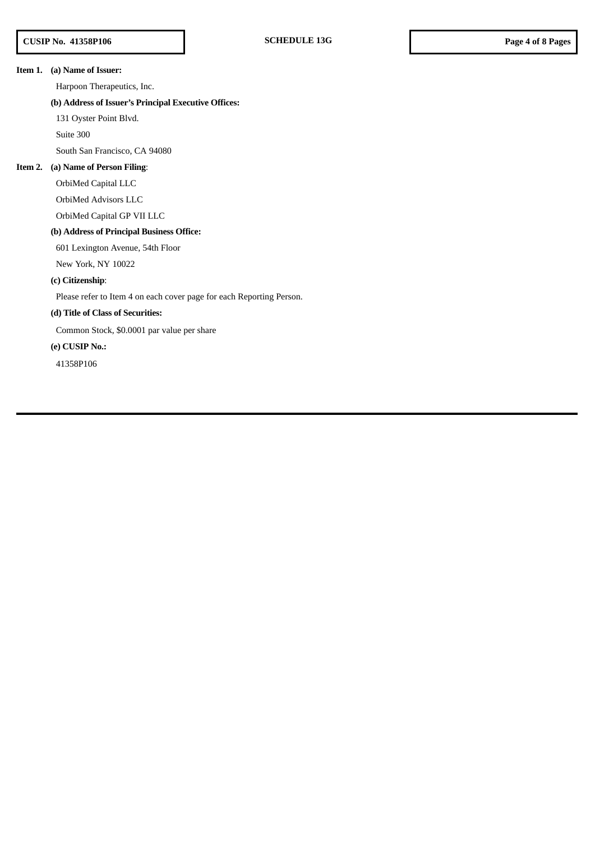## **Item 1. (a) Name of Issuer:**

Harpoon Therapeutics, Inc.

## **(b) Address of Issuer's Principal Executive Offices:**

131 Oyster Point Blvd.

Suite 300

South San Francisco, CA 94080

#### **Item 2. (a) Name of Person Filing**:

OrbiMed Capital LLC

OrbiMed Advisors LLC

OrbiMed Capital GP VII LLC

#### **(b) Address of Principal Business Office:**

601 Lexington Avenue, 54th Floor

New York, NY 10022

## **(c) Citizenship**:

Please refer to Item 4 on each cover page for each Reporting Person.

## **(d) Title of Class of Securities:**

Common Stock, \$0.0001 par value per share

## **(e) CUSIP No.:**

41358P106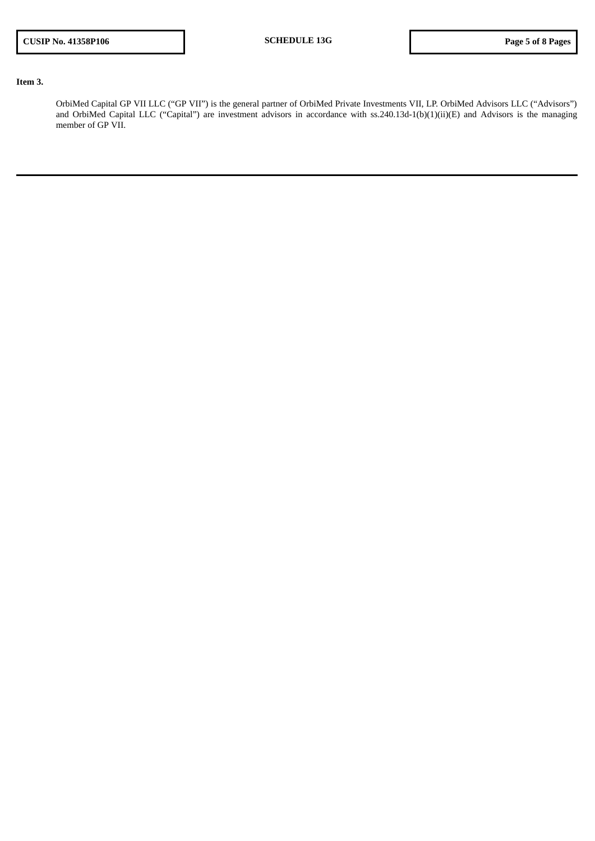## **Item 3.**

OrbiMed Capital GP VII LLC ("GP VII") is the general partner of OrbiMed Private Investments VII, LP. OrbiMed Advisors LLC ("Advisors") and OrbiMed Capital LLC ("Capital") are investment advisors in accordance with ss.240.13d-1(b)(1)(ii)(E) and Advisors is the managing member of GP VII.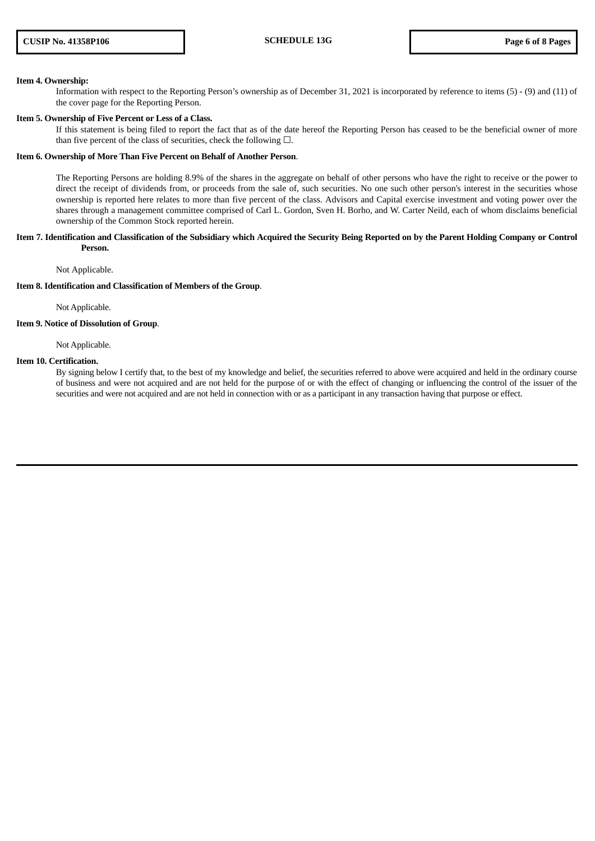#### **Item 4. Ownership:**

Information with respect to the Reporting Person's ownership as of December 31, 2021 is incorporated by reference to items (5) - (9) and (11) of the cover page for the Reporting Person.

#### **Item 5. Ownership of Five Percent or Less of a Class.**

If this statement is being filed to report the fact that as of the date hereof the Reporting Person has ceased to be the beneficial owner of more than five percent of the class of securities, check the following  $\Box$ .

#### **Item 6. Ownership of More Than Five Percent on Behalf of Another Person**.

The Reporting Persons are holding 8.9% of the shares in the aggregate on behalf of other persons who have the right to receive or the power to direct the receipt of dividends from, or proceeds from the sale of, such securities. No one such other person's interest in the securities whose ownership is reported here relates to more than five percent of the class. Advisors and Capital exercise investment and voting power over the shares through a management committee comprised of Carl L. Gordon, Sven H. Borho, and W. Carter Neild, each of whom disclaims beneficial ownership of the Common Stock reported herein.

#### Item 7. Identification and Classification of the Subsidiary which Acquired the Security Being Reported on by the Parent Holding Company or Control **Person.**

Not Applicable.

#### **Item 8. Identification and Classification of Members of the Group**.

Not Applicable.

## **Item 9. Notice of Dissolution of Group**.

Not Applicable.

#### **Item 10. Certification.**

By signing below I certify that, to the best of my knowledge and belief, the securities referred to above were acquired and held in the ordinary course of business and were not acquired and are not held for the purpose of or with the effect of changing or influencing the control of the issuer of the securities and were not acquired and are not held in connection with or as a participant in any transaction having that purpose or effect.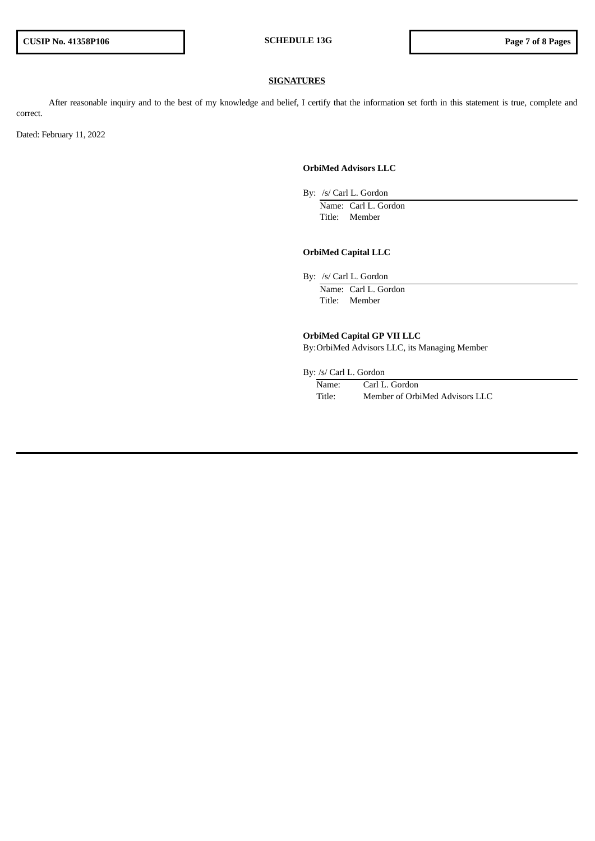#### **SIGNATURES**

After reasonable inquiry and to the best of my knowledge and belief, I certify that the information set forth in this statement is true, complete and correct.

Dated: February 11, 2022

## **OrbiMed Advisors LLC**

By: /s/ Carl L. Gordon

Name: Carl L. Gordon Title: Member

## **OrbiMed Capital LLC**

By: /s/ Carl L. Gordon

Name: Carl L. Gordon Title: Member

## **OrbiMed Capital GP VII LLC**

By:OrbiMed Advisors LLC, its Managing Member

By: /s/ Carl L. Gordon

| Name:  | Carl L. Gordon                 |
|--------|--------------------------------|
| Title: | Member of OrbiMed Advisors LLC |